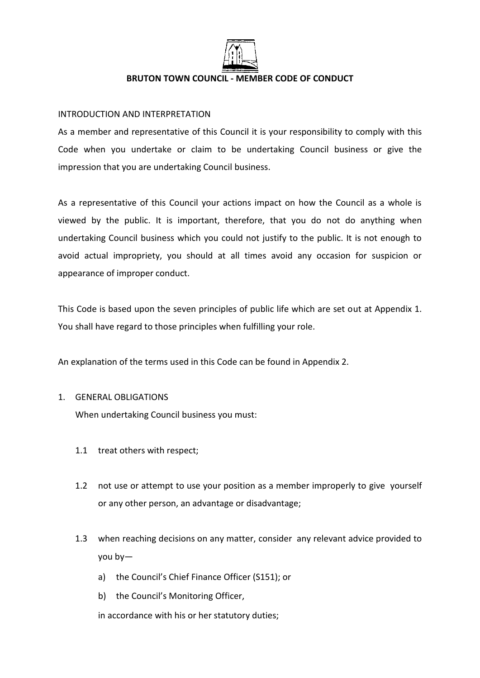

### **BRUTON TOWN COUNCIL - MEMBER CODE OF CONDUCT**

## INTRODUCTION AND INTERPRETATION

As a member and representative of this Council it is your responsibility to comply with this Code when you undertake or claim to be undertaking Council business or give the impression that you are undertaking Council business.

As a representative of this Council your actions impact on how the Council as a whole is viewed by the public. It is important, therefore, that you do not do anything when undertaking Council business which you could not justify to the public. It is not enough to avoid actual impropriety, you should at all times avoid any occasion for suspicion or appearance of improper conduct.

This Code is based upon the seven principles of public life which are set out at Appendix 1. You shall have regard to those principles when fulfilling your role.

An explanation of the terms used in this Code can be found in Appendix 2.

## 1. GENERAL OBLIGATIONS

When undertaking Council business you must:

- 1.1 treat others with respect;
- 1.2 not use or attempt to use your position as a member improperly to give yourself or any other person, an advantage or disadvantage;
- 1.3 when reaching decisions on any matter, consider any relevant advice provided to you by
	- a) the Council's Chief Finance Officer (S151); or
	- b) the Council's Monitoring Officer,

in accordance with his or her statutory duties;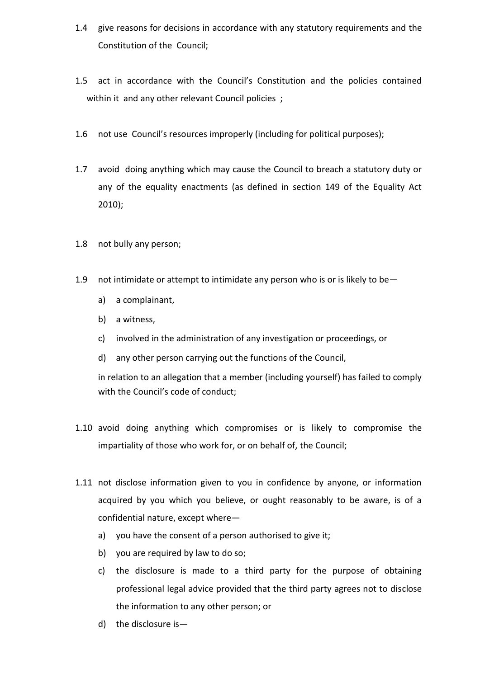- 1.4 give reasons for decisions in accordance with any statutory requirements and the Constitution of the Council;
- 1.5 act in accordance with the Council's Constitution and the policies contained within it and any other relevant Council policies ;
- 1.6 not use Council's resources improperly (including for political purposes);
- 1.7 avoid doing anything which may cause the Council to breach a statutory duty or any of the equality enactments (as defined in section 149 of the Equality Act 2010);
- 1.8 not bully any person;
- 1.9 not intimidate or attempt to intimidate any person who is or is likely to be
	- a) a complainant,
	- b) a witness,
	- c) involved in the administration of any investigation or proceedings, or
	- d) any other person carrying out the functions of the Council,

in relation to an allegation that a member (including yourself) has failed to comply with the Council's code of conduct;

- 1.10 avoid doing anything which compromises or is likely to compromise the impartiality of those who work for, or on behalf of, the Council;
- 1.11 not disclose information given to you in confidence by anyone, or information acquired by you which you believe, or ought reasonably to be aware, is of a confidential nature, except where
	- a) you have the consent of a person authorised to give it;
	- b) you are required by law to do so;
	- c) the disclosure is made to a third party for the purpose of obtaining professional legal advice provided that the third party agrees not to disclose the information to any other person; or
	- d) the disclosure is—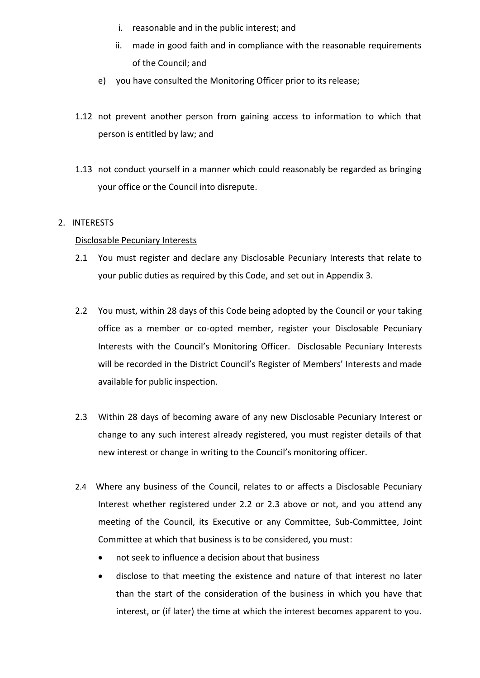- i. reasonable and in the public interest; and
- ii. made in good faith and in compliance with the reasonable requirements of the Council; and
- e) you have consulted the Monitoring Officer prior to its release;
- 1.12 not prevent another person from gaining access to information to which that person is entitled by law; and
- 1.13 not conduct yourself in a manner which could reasonably be regarded as bringing your office or the Council into disrepute.

## 2. INTERESTS

### Disclosable Pecuniary Interests

- 2.1 You must register and declare any Disclosable Pecuniary Interests that relate to your public duties as required by this Code, and set out in Appendix 3.
- 2.2 You must, within 28 days of this Code being adopted by the Council or your taking office as a member or co-opted member, register your Disclosable Pecuniary Interests with the Council's Monitoring Officer. Disclosable Pecuniary Interests will be recorded in the District Council's Register of Members' Interests and made available for public inspection.
- 2.3 Within 28 days of becoming aware of any new Disclosable Pecuniary Interest or change to any such interest already registered, you must register details of that new interest or change in writing to the Council's monitoring officer.
- 2.4 Where any business of the Council, relates to or affects a Disclosable Pecuniary Interest whether registered under 2.2 or 2.3 above or not, and you attend any meeting of the Council, its Executive or any Committee, Sub-Committee, Joint Committee at which that business is to be considered, you must:
	- not seek to influence a decision about that business
	- disclose to that meeting the existence and nature of that interest no later than the start of the consideration of the business in which you have that interest, or (if later) the time at which the interest becomes apparent to you.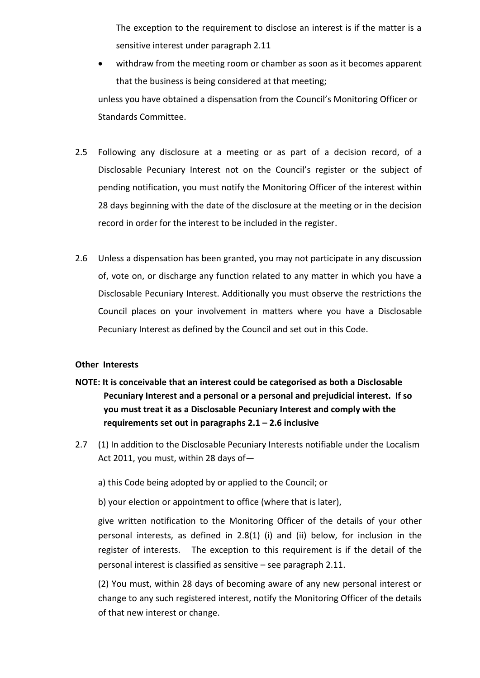The exception to the requirement to disclose an interest is if the matter is a sensitive interest under paragraph 2.11

 withdraw from the meeting room or chamber as soon as it becomes apparent that the business is being considered at that meeting;

unless you have obtained a dispensation from the Council's Monitoring Officer or Standards Committee.

- 2.5 Following any disclosure at a meeting or as part of a decision record, of a Disclosable Pecuniary Interest not on the Council's register or the subject of pending notification, you must notify the Monitoring Officer of the interest within 28 days beginning with the date of the disclosure at the meeting or in the decision record in order for the interest to be included in the register.
- 2.6 Unless a dispensation has been granted, you may not participate in any discussion of, vote on, or discharge any function related to any matter in which you have a Disclosable Pecuniary Interest. Additionally you must observe the restrictions the Council places on your involvement in matters where you have a Disclosable Pecuniary Interest as defined by the Council and set out in this Code.

## **Other Interests**

- **NOTE: It is conceivable that an interest could be categorised as both a Disclosable Pecuniary Interest and a personal or a personal and prejudicial interest. If so you must treat it as a Disclosable Pecuniary Interest and comply with the requirements set out in paragraphs 2.1 – 2.6 inclusive**
- 2.7 (1) In addition to the Disclosable Pecuniary Interests notifiable under the Localism Act 2011, you must, within 28 days of
	- a) this Code being adopted by or applied to the Council; or

b) your election or appointment to office (where that is later),

give written notification to the Monitoring Officer of the details of your other personal interests, as defined in 2.8(1) (i) and (ii) below, for inclusion in the register of interests. The exception to this requirement is if the detail of the personal interest is classified as sensitive – see paragraph 2.11.

(2) You must, within 28 days of becoming aware of any new personal interest or change to any such registered interest, notify the Monitoring Officer of the details of that new interest or change.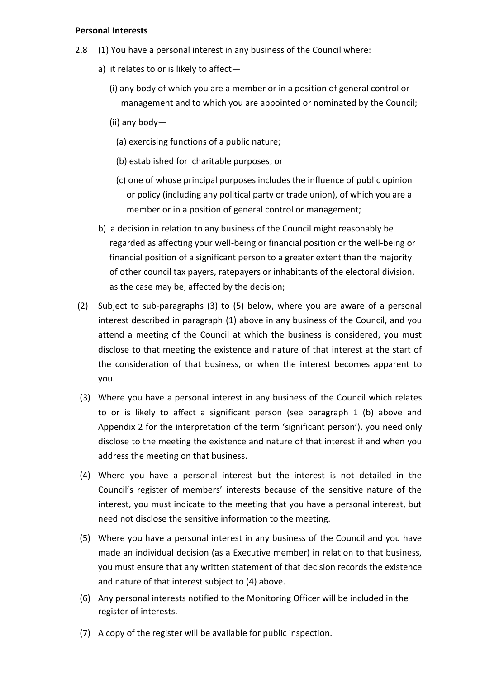### **Personal Interests**

- 2.8 (1) You have a personal interest in any business of the Council where:
	- a) it relates to or is likely to affect—
		- (i) any body of which you are a member or in a position of general control or management and to which you are appointed or nominated by the Council;
		- (ii) any body—
			- (a) exercising functions of a public nature;
			- (b) established for charitable purposes; or
			- (c) one of whose principal purposes includes the influence of public opinion or policy (including any political party or trade union), of which you are a member or in a position of general control or management;
	- b) a decision in relation to any business of the Council might reasonably be regarded as affecting your well-being or financial position or the well-being or financial position of a significant person to a greater extent than the majority of other council tax payers, ratepayers or inhabitants of the electoral division, as the case may be, affected by the decision;
- (2) Subject to sub-paragraphs (3) to (5) below, where you are aware of a personal interest described in paragraph (1) above in any business of the Council, and you attend a meeting of the Council at which the business is considered, you must disclose to that meeting the existence and nature of that interest at the start of the consideration of that business, or when the interest becomes apparent to you.
- (3) Where you have a personal interest in any business of the Council which relates to or is likely to affect a significant person (see paragraph 1 (b) above and Appendix 2 for the interpretation of the term 'significant person'), you need only disclose to the meeting the existence and nature of that interest if and when you address the meeting on that business.
- (4) Where you have a personal interest but the interest is not detailed in the Council's register of members' interests because of the sensitive nature of the interest, you must indicate to the meeting that you have a personal interest, but need not disclose the sensitive information to the meeting.
- (5) Where you have a personal interest in any business of the Council and you have made an individual decision (as a Executive member) in relation to that business, you must ensure that any written statement of that decision records the existence and nature of that interest subject to (4) above.
- (6) Any personal interests notified to the Monitoring Officer will be included in the register of interests.
- (7) A copy of the register will be available for public inspection.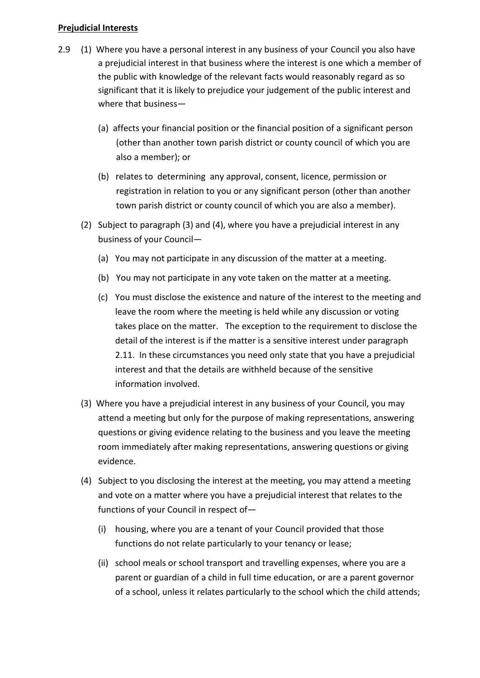## **Prejudicial Interests**

- 2.9 (1) Where you have a personal interest in any business of your Council you also have a prejudicial interest in that business where the interest is one which a member of the public with knowledge of the relevant facts would reasonably regard as so significant that it is likely to prejudice your judgement of the public interest and where that business—
	- (a) affects your financial position or the financial position of a significant person (other than another town parish district or county council of which you are also a member); or
	- (b) relates to determining any approval, consent, licence, permission or registration in relation to you or any significant person (other than another town parish district or county council of which you are also a member).
	- (2) Subject to paragraph (3) and (4), where you have a prejudicial interest in any business of your Council—
		- (a) You may not participate in any discussion of the matter at a meeting.
		- (b) You may not participate in any vote taken on the matter at a meeting.
		- (c) You must disclose the existence and nature of the interest to the meeting and leave the room where the meeting is held while any discussion or voting takes place on the matter. The exception to the requirement to disclose the detail of the interest is if the matter is a sensitive interest under paragraph 2.11. In these circumstances you need only state that you have a prejudicial interest and that the details are withheld because of the sensitive information involved.
	- (3) Where you have a prejudicial interest in any business of your Council, you may attend a meeting but only for the purpose of making representations, answering questions or giving evidence relating to the business and you leave the meeting room immediately after making representations, answering questions or giving evidence.
	- (4) Subject to you disclosing the interest at the meeting, you may attend a meeting and vote on a matter where you have a prejudicial interest that relates to the functions of your Council in respect of—
		- (i) housing, where you are a tenant of your Council provided that those functions do not relate particularly to your tenancy or lease;
		- (ii) school meals or school transport and travelling expenses, where you are a parent or guardian of a child in full time education, or are a parent governor of a school, unless it relates particularly to the school which the child attends;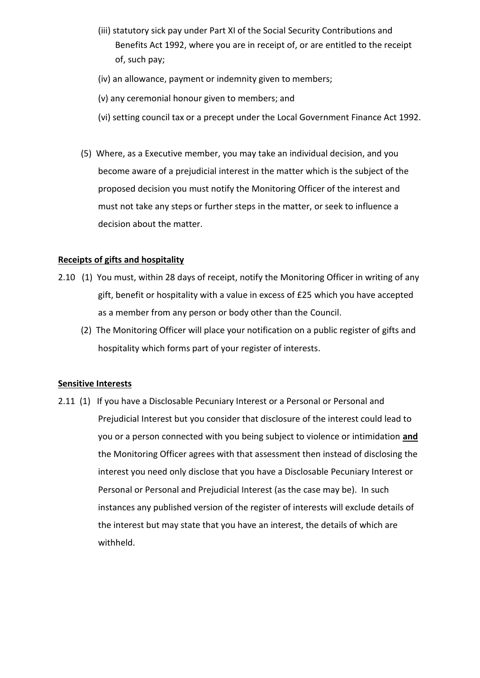- (iii) statutory sick pay under Part XI of the Social Security Contributions and Benefits Act 1992, where you are in receipt of, or are entitled to the receipt of, such pay;
- (iv) an allowance, payment or indemnity given to members;
- (v) any ceremonial honour given to members; and
- (vi) setting council tax or a precept under the Local Government Finance Act 1992.
- (5) Where, as a Executive member, you may take an individual decision, and you become aware of a prejudicial interest in the matter which is the subject of the proposed decision you must notify the Monitoring Officer of the interest and must not take any steps or further steps in the matter, or seek to influence a decision about the matter.

## **Receipts of gifts and hospitality**

- 2.10 (1) You must, within 28 days of receipt, notify the Monitoring Officer in writing of any gift, benefit or hospitality with a value in excess of £25 which you have accepted as a member from any person or body other than the Council.
	- (2) The Monitoring Officer will place your notification on a public register of gifts and hospitality which forms part of your register of interests.

## **Sensitive Interests**

2.11 (1) If you have a Disclosable Pecuniary Interest or a Personal or Personal and Prejudicial Interest but you consider that disclosure of the interest could lead to you or a person connected with you being subject to violence or intimidation **and** the Monitoring Officer agrees with that assessment then instead of disclosing the interest you need only disclose that you have a Disclosable Pecuniary Interest or Personal or Personal and Prejudicial Interest (as the case may be). In such instances any published version of the register of interests will exclude details of the interest but may state that you have an interest, the details of which are withheld.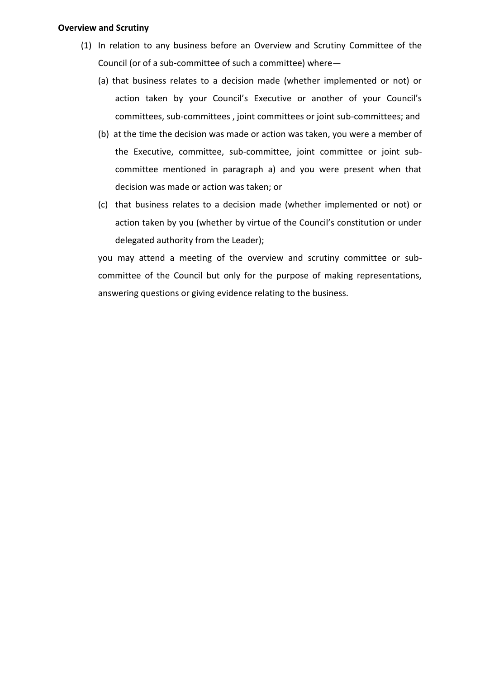### **Overview and Scrutiny**

- (1) In relation to any business before an Overview and Scrutiny Committee of the Council (or of a sub-committee of such a committee) where—
	- (a) that business relates to a decision made (whether implemented or not) or action taken by your Council's Executive or another of your Council's committees, sub-committees , joint committees or joint sub-committees; and
	- (b) at the time the decision was made or action was taken, you were a member of the Executive, committee, sub-committee, joint committee or joint subcommittee mentioned in paragraph a) and you were present when that decision was made or action was taken; or
	- (c) that business relates to a decision made (whether implemented or not) or action taken by you (whether by virtue of the Council's constitution or under delegated authority from the Leader);

you may attend a meeting of the overview and scrutiny committee or subcommittee of the Council but only for the purpose of making representations, answering questions or giving evidence relating to the business.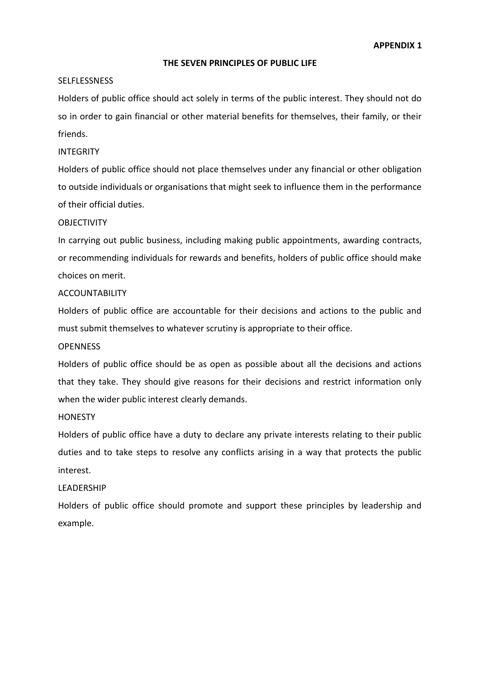#### **THE SEVEN PRINCIPLES OF PUBLIC LIFE**

#### **SELFLESSNESS**

Holders of public office should act solely in terms of the public interest. They should not do so in order to gain financial or other material benefits for themselves, their family, or their friends.

#### INTEGRITY

Holders of public office should not place themselves under any financial or other obligation to outside individuals or organisations that might seek to influence them in the performance of their official duties.

### **OBJECTIVITY**

In carrying out public business, including making public appointments, awarding contracts, or recommending individuals for rewards and benefits, holders of public office should make choices on merit.

#### ACCOUNTABILITY

Holders of public office are accountable for their decisions and actions to the public and must submit themselves to whatever scrutiny is appropriate to their office.

#### **OPENNESS**

Holders of public office should be as open as possible about all the decisions and actions that they take. They should give reasons for their decisions and restrict information only when the wider public interest clearly demands.

#### **HONESTY**

Holders of public office have a duty to declare any private interests relating to their public duties and to take steps to resolve any conflicts arising in a way that protects the public interest.

#### LEADERSHIP

Holders of public office should promote and support these principles by leadership and example.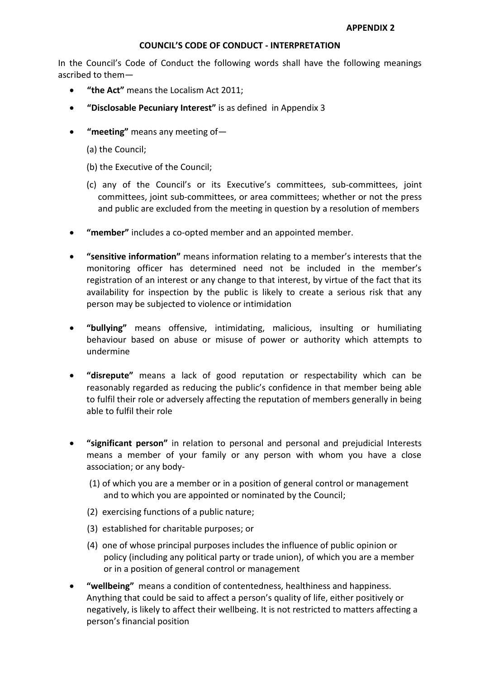### **COUNCIL'S CODE OF CONDUCT - INTERPRETATION**

In the Council's Code of Conduct the following words shall have the following meanings ascribed to them—

- **"the Act"** means the Localism Act 2011;
- **"Disclosable Pecuniary Interest"** is as defined in Appendix 3
- **"meeting"** means any meeting of—
	- (a) the Council;
	- (b) the Executive of the Council;
	- (c) any of the Council's or its Executive's committees, sub-committees, joint committees, joint sub-committees, or area committees; whether or not the press and public are excluded from the meeting in question by a resolution of members
- **"member"** includes a co-opted member and an appointed member.
- **"sensitive information"** means information relating to a member's interests that the monitoring officer has determined need not be included in the member's registration of an interest or any change to that interest, by virtue of the fact that its availability for inspection by the public is likely to create a serious risk that any person may be subjected to violence or intimidation
- **"bullying"** means offensive, intimidating, malicious, insulting or humiliating behaviour based on abuse or misuse of power or authority which attempts to undermine
- **"disrepute"** means a lack of good reputation or respectability which can be reasonably regarded as reducing the public's confidence in that member being able to fulfil their role or adversely affecting the reputation of members generally in being able to fulfil their role
- **"significant person"** in relation to personal and personal and prejudicial Interests means a member of your family or any person with whom you have a close association; or any body-
	- (1) of which you are a member or in a position of general control or management and to which you are appointed or nominated by the Council;
	- (2) exercising functions of a public nature;
	- (3) established for charitable purposes; or
	- (4) one of whose principal purposes includes the influence of public opinion or policy (including any political party or trade union), of which you are a member or in a position of general control or management
- **"wellbeing"** means a condition of contentedness, healthiness and happiness. Anything that could be said to affect a person's quality of life, either positively or negatively, is likely to affect their wellbeing. It is not restricted to matters affecting a person's financial position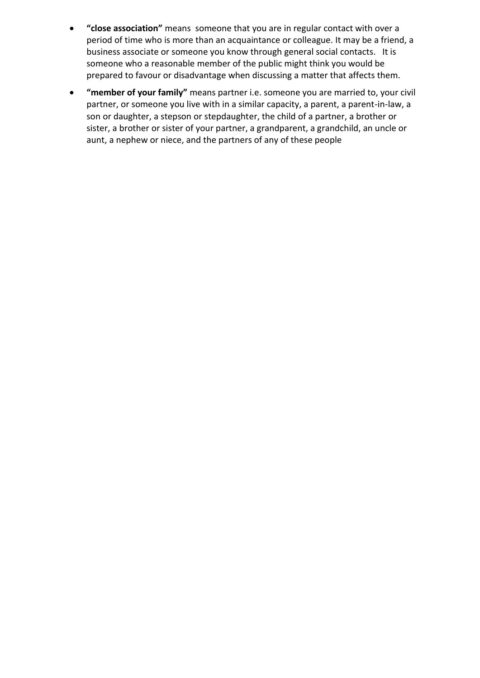- **"close association"** means someone that you are in regular contact with over a period of time who is more than an acquaintance or colleague. It may be a friend, a business associate or someone you know through general social contacts. It is someone who a reasonable member of the public might think you would be prepared to favour or disadvantage when discussing a matter that affects them.
- **"member of your family"** means partner i.e. someone you are married to, your civil partner, or someone you live with in a similar capacity, a parent, a parent-in-law, a son or daughter, a stepson or stepdaughter, the child of a partner, a brother or sister, a brother or sister of your partner, a grandparent, a grandchild, an uncle or aunt, a nephew or niece, and the partners of any of these people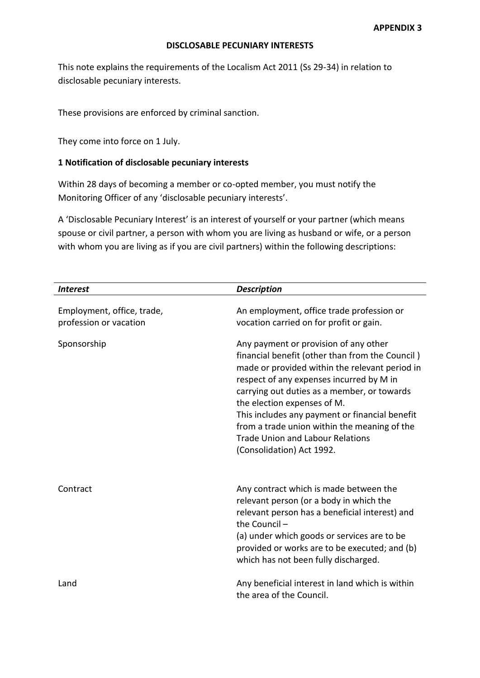### **DISCLOSABLE PECUNIARY INTERESTS**

This note explains the requirements of the Localism Act 2011 (Ss 29-34) in relation to disclosable pecuniary interests.

These provisions are enforced by criminal sanction.

They come into force on 1 July.

## **1 Notification of disclosable pecuniary interests**

Within 28 days of becoming a member or co-opted member, you must notify the Monitoring Officer of any 'disclosable pecuniary interests'.

A 'Disclosable Pecuniary Interest' is an interest of yourself or your partner (which means spouse or civil partner, a person with whom you are living as husband or wife, or a person with whom you are living as if you are civil partners) within the following descriptions:

| <b>Interest</b>                                      | <b>Description</b>                                                                                                                                                                                                                                                                                                                                                                                                                             |
|------------------------------------------------------|------------------------------------------------------------------------------------------------------------------------------------------------------------------------------------------------------------------------------------------------------------------------------------------------------------------------------------------------------------------------------------------------------------------------------------------------|
| Employment, office, trade,<br>profession or vacation | An employment, office trade profession or<br>vocation carried on for profit or gain.                                                                                                                                                                                                                                                                                                                                                           |
| Sponsorship                                          | Any payment or provision of any other<br>financial benefit (other than from the Council)<br>made or provided within the relevant period in<br>respect of any expenses incurred by M in<br>carrying out duties as a member, or towards<br>the election expenses of M.<br>This includes any payment or financial benefit<br>from a trade union within the meaning of the<br><b>Trade Union and Labour Relations</b><br>(Consolidation) Act 1992. |
| Contract                                             | Any contract which is made between the<br>relevant person (or a body in which the<br>relevant person has a beneficial interest) and<br>the Council-<br>(a) under which goods or services are to be<br>provided or works are to be executed; and (b)<br>which has not been fully discharged.                                                                                                                                                    |
| Land                                                 | Any beneficial interest in land which is within<br>the area of the Council.                                                                                                                                                                                                                                                                                                                                                                    |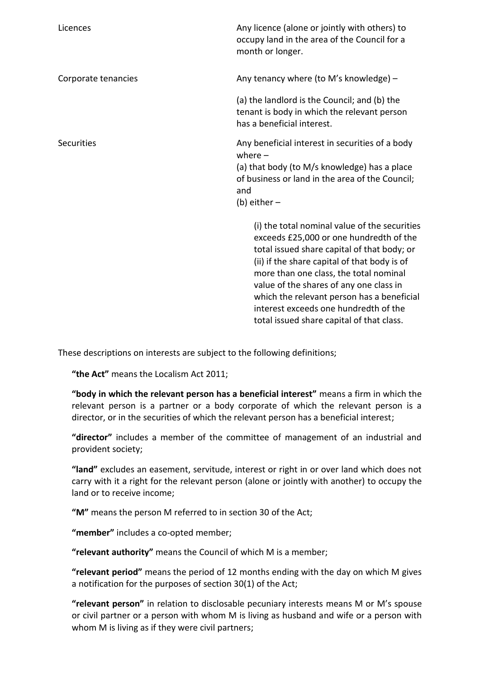| Licences            | Any licence (alone or jointly with others) to<br>occupy land in the area of the Council for a<br>month or longer.                                                                                                                                                                                                                                                                                                |
|---------------------|------------------------------------------------------------------------------------------------------------------------------------------------------------------------------------------------------------------------------------------------------------------------------------------------------------------------------------------------------------------------------------------------------------------|
| Corporate tenancies | Any tenancy where (to M's knowledge) -                                                                                                                                                                                                                                                                                                                                                                           |
|                     | (a) the landlord is the Council; and (b) the<br>tenant is body in which the relevant person<br>has a beneficial interest.                                                                                                                                                                                                                                                                                        |
| <b>Securities</b>   | Any beneficial interest in securities of a body<br>where $-$<br>(a) that body (to M/s knowledge) has a place<br>of business or land in the area of the Council;<br>and<br>(b) either $-$                                                                                                                                                                                                                         |
|                     | (i) the total nominal value of the securities<br>exceeds £25,000 or one hundredth of the<br>total issued share capital of that body; or<br>(ii) if the share capital of that body is of<br>more than one class, the total nominal<br>value of the shares of any one class in<br>which the relevant person has a beneficial<br>interest exceeds one hundredth of the<br>total issued share capital of that class. |

These descriptions on interests are subject to the following definitions;

**"the Act"** means the Localism Act 2011;

**"body in which the relevant person has a beneficial interest"** means a firm in which the relevant person is a partner or a body corporate of which the relevant person is a director, or in the securities of which the relevant person has a beneficial interest;

**"director"** includes a member of the committee of management of an industrial and provident society;

**"land"** excludes an easement, servitude, interest or right in or over land which does not carry with it a right for the relevant person (alone or jointly with another) to occupy the land or to receive income;

**"M"** means the person M referred to in section 30 of the Act;

**"member"** includes a co-opted member;

**"relevant authority"** means the Council of which M is a member;

**"relevant period"** means the period of 12 months ending with the day on which M gives a notification for the purposes of section 30(1) of the Act;

**"relevant person"** in relation to disclosable pecuniary interests means M or M's spouse or civil partner or a person with whom M is living as husband and wife or a person with whom M is living as if they were civil partners;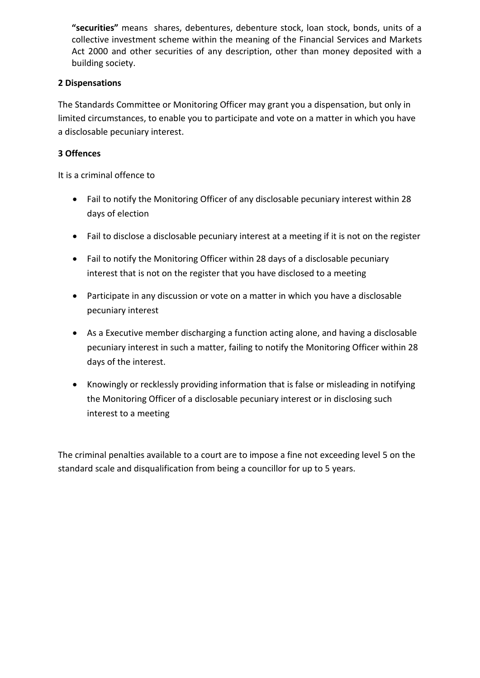**"securities"** means shares, debentures, debenture stock, loan stock, bonds, units of a collective investment scheme within the meaning of the Financial Services and Markets Act 2000 and other securities of any description, other than money deposited with a building society.

# **2 Dispensations**

The Standards Committee or Monitoring Officer may grant you a dispensation, but only in limited circumstances, to enable you to participate and vote on a matter in which you have a disclosable pecuniary interest.

# **3 Offences**

It is a criminal offence to

- Fail to notify the Monitoring Officer of any disclosable pecuniary interest within 28 days of election
- Fail to disclose a disclosable pecuniary interest at a meeting if it is not on the register
- Fail to notify the Monitoring Officer within 28 days of a disclosable pecuniary interest that is not on the register that you have disclosed to a meeting
- Participate in any discussion or vote on a matter in which you have a disclosable pecuniary interest
- As a Executive member discharging a function acting alone, and having a disclosable pecuniary interest in such a matter, failing to notify the Monitoring Officer within 28 days of the interest.
- Knowingly or recklessly providing information that is false or misleading in notifying the Monitoring Officer of a disclosable pecuniary interest or in disclosing such interest to a meeting

The criminal penalties available to a court are to impose a fine not exceeding level 5 on the standard scale and disqualification from being a councillor for up to 5 years.